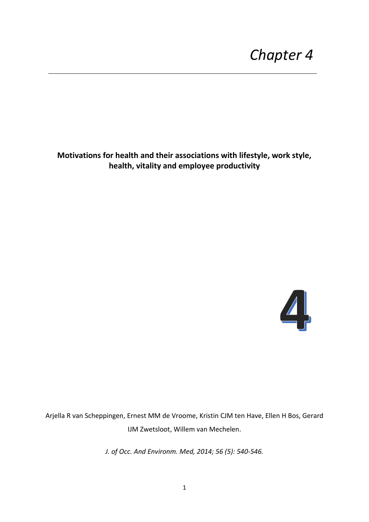**Motivations for health and their associations with lifestyle, work style, health, vitality and employee productivity**



Arjella R van Scheppingen, Ernest MM de Vroome, Kristin CJM ten Have, Ellen H Bos, Gerard IJM Zwetsloot, Willem van Mechelen.

*J. of Occ. And Environm. Med, 2014; 56 (5): 540-546.*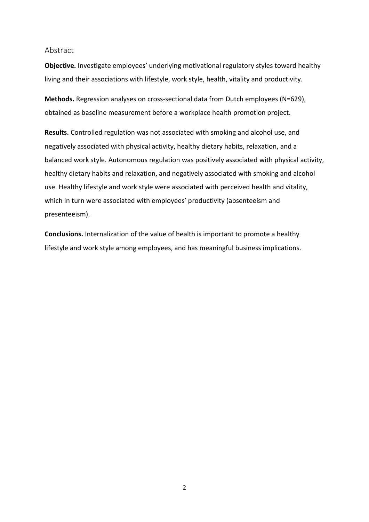### Abstract

**Objective.** Investigate employees' underlying motivational regulatory styles toward healthy living and their associations with lifestyle, work style, health, vitality and productivity.

**Methods.** Regression analyses on cross-sectional data from Dutch employees (N=629), obtained as baseline measurement before a workplace health promotion project.

**Results.** Controlled regulation was not associated with smoking and alcohol use, and negatively associated with physical activity, healthy dietary habits, relaxation, and a balanced work style. Autonomous regulation was positively associated with physical activity, healthy dietary habits and relaxation, and negatively associated with smoking and alcohol use. Healthy lifestyle and work style were associated with perceived health and vitality, which in turn were associated with employees' productivity (absenteeism and presenteeism).

**Conclusions.** Internalization of the value of health is important to promote a healthy lifestyle and work style among employees, and has meaningful business implications.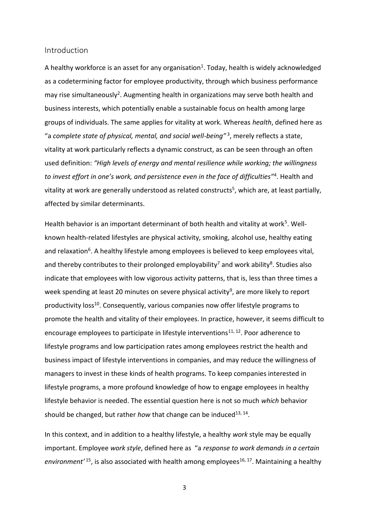### Introduction

A healthy workforce is an asset for any organisation<sup>1</sup>. Today, health is widely acknowledged as a codetermining factor for employee productivity, through which business performance may rise simultaneously<sup>2</sup>. Augmenting health in organizations may serve both health and business interests, which potentially enable a sustainable focus on health among large groups of individuals. The same applies for vitality at work. Whereas *health*, defined here as "a *complete state of physical, mental, and social well-being"* <sup>3</sup> , merely reflects a state, vitality at work particularly reflects a dynamic construct, as can be seen through an often used definition: *"High levels of energy and mental resilience while working; the willingness to invest effort in one's work, and persistence even in the face of difficulties"*<sup>4</sup> . Health and vitality at work are generally understood as related constructs<sup>5</sup>, which are, at least partially, affected by similar determinants.

Health behavior is an important determinant of both health and vitality at work<sup>5</sup>. Wellknown health-related lifestyles are physical activity, smoking, alcohol use, healthy eating and relaxation<sup>6</sup>. A healthy lifestyle among employees is believed to keep employees vital, and thereby contributes to their prolonged employability<sup>7</sup> and work ability<sup>8</sup>. Studies also indicate that employees with low vigorous activity patterns, that is, less than three times a week spending at least 20 minutes on severe physical activity<sup>9</sup>, are more likely to report productivity loss<sup>10</sup>. Consequently, various companies now offer lifestyle programs to promote the health and vitality of their employees. In practice, however, it seems difficult to encourage employees to participate in lifestyle interventions<sup>11, 12</sup>. Poor adherence to lifestyle programs and low participation rates among employees restrict the health and business impact of lifestyle interventions in companies, and may reduce the willingness of managers to invest in these kinds of health programs. To keep companies interested in lifestyle programs, a more profound knowledge of how to engage employees in healthy lifestyle behavior is needed. The essential question here is not so much *which* behavior should be changed, but rather *how* that change can be induced<sup>13, 14</sup>.

In this context, and in addition to a healthy lifestyle, a healthy *work* style may be equally important. Employee *work style*, defined here as "a *response to work demands in a certain*  environment<sup>' 15</sup>, is also associated with health among employees<sup>16, 17</sup>. Maintaining a healthy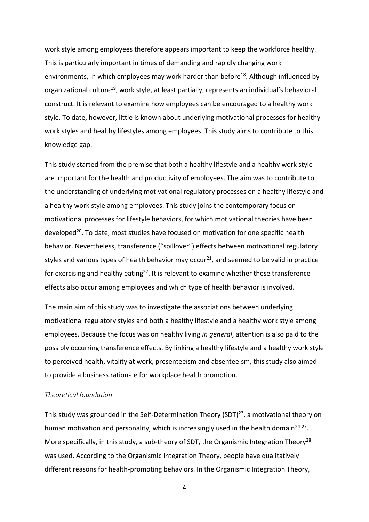work style among employees therefore appears important to keep the workforce healthy. This is particularly important in times of demanding and rapidly changing work environments, in which employees may work harder than before<sup>18</sup>. Although influenced by organizational culture<sup>19</sup>, work style, at least partially, represents an individual's behavioral construct. It is relevant to examine how employees can be encouraged to a healthy work style. To date, however, little is known about underlying motivational processes for healthy work styles and healthy lifestyles among employees. This study aims to contribute to this knowledge gap.

This study started from the premise that both a healthy lifestyle and a healthy work style are important for the health and productivity of employees. The aim was to contribute to the understanding of underlying motivational regulatory processes on a healthy lifestyle and a healthy work style among employees. This study joins the contemporary focus on motivational processes for lifestyle behaviors, for which motivational theories have been developed<sup>20</sup>. To date, most studies have focused on motivation for one specific health behavior. Nevertheless, transference ("spillover") effects between motivational regulatory styles and various types of health behavior may occur<sup>21</sup>, and seemed to be valid in practice for exercising and healthy eating<sup>22</sup>. It is relevant to examine whether these transference effects also occur among employees and which type of health behavior is involved.

The main aim of this study was to investigate the associations between underlying motivational regulatory styles and both a healthy lifestyle and a healthy work style among employees. Because the focus was on healthy living *in general*, attention is also paid to the possibly occurring transference effects. By linking a healthy lifestyle and a healthy work style to perceived health, vitality at work, presenteeism and absenteeism, this study also aimed to provide a business rationale for workplace health promotion.

### *Theoretical foundation*

This study was grounded in the Self-Determination Theory (SDT)<sup>23</sup>, a motivational theory on human motivation and personality, which is increasingly used in the health domain<sup>24-27</sup>. More specifically, in this study, a sub-theory of SDT, the Organismic Integration Theory<sup>28</sup> was used. According to the Organismic Integration Theory, people have qualitatively different reasons for health-promoting behaviors. In the Organismic Integration Theory,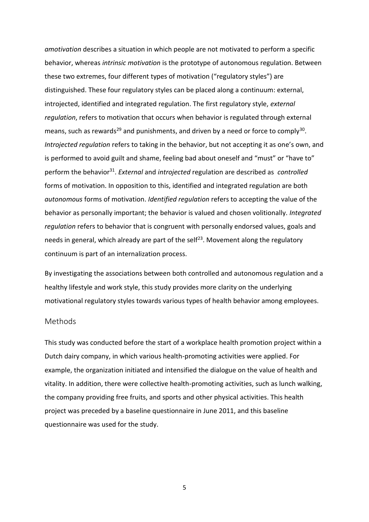*amotivation* describes a situation in which people are not motivated to perform a specific behavior, whereas *intrinsic motivation* is the prototype of autonomous regulation. Between these two extremes, four different types of motivation ("regulatory styles") are distinguished. These four regulatory styles can be placed along a continuum: external, introjected, identified and integrated regulation. The first regulatory style, *external regulation*, refers to motivation that occurs when behavior is regulated through external means, such as rewards<sup>29</sup> and punishments, and driven by a need or force to comply<sup>30</sup>. *Introjected regulation* refers to taking in the behavior, but not accepting it as one's own, and is performed to avoid guilt and shame, feeling bad about oneself and "must" or "have to" perform the behavior<sup>31</sup>. External and *introjected* regulation are described as *controlled* forms of motivation. In opposition to this, identified and integrated regulation are both *autonomous* forms of motivation. *Identified regulation* refers to accepting the value of the behavior as personally important; the behavior is valued and chosen volitionally. *Integrated regulation* refers to behavior that is congruent with personally endorsed values, goals and needs in general, which already are part of the self<sup>23</sup>. Movement along the regulatory continuum is part of an internalization process.

By investigating the associations between both controlled and autonomous regulation and a healthy lifestyle and work style, this study provides more clarity on the underlying motivational regulatory styles towards various types of health behavior among employees.

### Methods

This study was conducted before the start of a workplace health promotion project within a Dutch dairy company, in which various health-promoting activities were applied. For example, the organization initiated and intensified the dialogue on the value of health and vitality. In addition, there were collective health-promoting activities, such as lunch walking, the company providing free fruits, and sports and other physical activities. This health project was preceded by a baseline questionnaire in June 2011, and this baseline questionnaire was used for the study.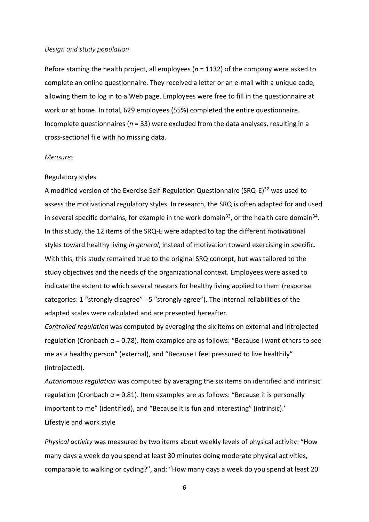#### *Design and study population*

Before starting the health project, all employees (*n* = 1132) of the company were asked to complete an online questionnaire. They received a letter or an e-mail with a unique code, allowing them to log in to a Web page. Employees were free to fill in the questionnaire at work or at home. In total, 629 employees (55%) completed the entire questionnaire. Incomplete questionnaires (*n* = 33) were excluded from the data analyses, resulting in a cross-sectional file with no missing data.

#### *Measures*

### Regulatory styles

A modified version of the Exercise Self-Regulation Questionnaire (SRQ-E)<sup>32</sup> was used to assess the motivational regulatory styles. In research, the SRQ is often adapted for and used in several specific domains, for example in the work domain<sup>33</sup>, or the health care domain<sup>34</sup>. In this study, the 12 items of the SRQ-E were adapted to tap the different motivational styles toward healthy living *in general*, instead of motivation toward exercising in specific. With this, this study remained true to the original SRQ concept, but was tailored to the study objectives and the needs of the organizational context. Employees were asked to indicate the extent to which several reasons for healthy living applied to them (response categories: 1 "strongly disagree" - 5 "strongly agree"). The internal reliabilities of the adapted scales were calculated and are presented hereafter.

*Controlled regulation* was computed by averaging the six items on external and introjected regulation (Cronbach  $\alpha$  = 0.78). Item examples are as follows: "Because I want others to see me as a healthy person" (external), and "Because I feel pressured to live healthily" (introjected).

*Autonomous regulation* was computed by averaging the six items on identified and intrinsic regulation (Cronbach  $\alpha$  = 0.81). Item examples are as follows: "Because it is personally important to me" (identified), and "Because it is fun and interesting" (intrinsic).' Lifestyle and work style

*Physical activity* was measured by two items about weekly levels of physical activity: "How many days a week do you spend at least 30 minutes doing moderate physical activities, comparable to walking or cycling?", and: "How many days a week do you spend at least 20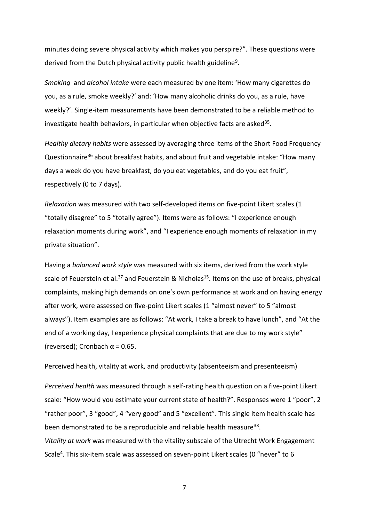minutes doing severe physical activity which makes you perspire?". These questions were derived from the Dutch physical activity public health guideline<sup>9</sup>.

*Smoking* and *alcohol intake* were each measured by one item: 'How many cigarettes do you, as a rule, smoke weekly?' and: 'How many alcoholic drinks do you, as a rule, have weekly?'. Single-item measurements have been demonstrated to be a reliable method to investigate health behaviors, in particular when objective facts are asked<sup>35</sup>.

*Healthy dietary habits* were assessed by averaging three items of the Short Food Frequency Questionnaire<sup>36</sup> about breakfast habits, and about fruit and vegetable intake: "How many days a week do you have breakfast, do you eat vegetables, and do you eat fruit", respectively (0 to 7 days).

*Relaxation* was measured with two self-developed items on five-point Likert scales (1 "totally disagree" to 5 "totally agree"). Items were as follows: "I experience enough relaxation moments during work", and "I experience enough moments of relaxation in my private situation".

Having a *balanced work style* was measured with six items, derived from the work style scale of Feuerstein et al.<sup>37</sup> and Feuerstein & Nicholas<sup>15</sup>. Items on the use of breaks, physical complaints, making high demands on one's own performance at work and on having energy after work, were assessed on five-point Likert scales (1 "almost never" to 5 "almost always"). Item examples are as follows: "At work, I take a break to have lunch", and "At the end of a working day, I experience physical complaints that are due to my work style" (reversed); Cronbach  $\alpha$  = 0.65.

Perceived health, vitality at work, and productivity (absenteeism and presenteeism)

*Perceived health* was measured through a self-rating health question on a five-point Likert scale: "How would you estimate your current state of health?". Responses were 1 "poor", 2 "rather poor", 3 "good", 4 "very good" and 5 "excellent". This single item health scale has been demonstrated to be a reproducible and reliable health measure<sup>38</sup>. *Vitality at work* was measured with the vitality subscale of the Utrecht Work Engagement Scale<sup>4</sup>. This six-item scale was assessed on seven-point Likert scales (0 "never" to 6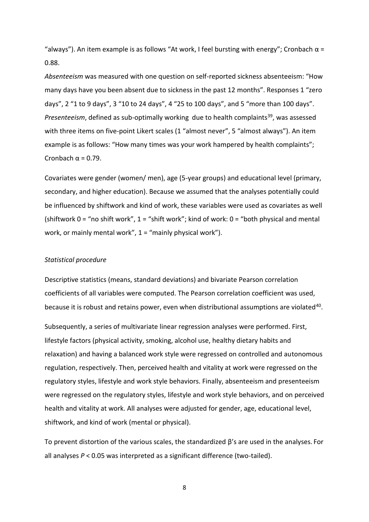"always"). An item example is as follows "At work, I feel bursting with energy"; Cronbach  $\alpha$  = 0.88.

*Absenteeism* was measured with one question on self-reported sickness absenteeism: "How many days have you been absent due to sickness in the past 12 months". Responses 1 "zero days", 2 "1 to 9 days", 3 "10 to 24 days", 4 "25 to 100 days", and 5 "more than 100 days". *Presenteeism*, defined as sub-optimally working due to health complaints<sup>39</sup>, was assessed with three items on five-point Likert scales (1 "almost never", 5 "almost always"). An item example is as follows: "How many times was your work hampered by health complaints"; Cronbach  $\alpha$  = 0.79.

Covariates were gender (women/ men), age (5-year groups) and educational level (primary, secondary, and higher education). Because we assumed that the analyses potentially could be influenced by shiftwork and kind of work, these variables were used as covariates as well (shiftwork  $0 =$  "no shift work",  $1 =$  "shift work"; kind of work:  $0 =$  "both physical and mental work, or mainly mental work",  $1 =$  "mainly physical work").

### *Statistical procedure*

Descriptive statistics (means, standard deviations) and bivariate Pearson correlation coefficients of all variables were computed. The Pearson correlation coefficient was used, because it is robust and retains power, even when distributional assumptions are violated<sup>40</sup>.

Subsequently, a series of multivariate linear regression analyses were performed. First, lifestyle factors (physical activity, smoking, alcohol use, healthy dietary habits and relaxation) and having a balanced work style were regressed on controlled and autonomous regulation, respectively. Then, perceived health and vitality at work were regressed on the regulatory styles, lifestyle and work style behaviors. Finally, absenteeism and presenteeism were regressed on the regulatory styles, lifestyle and work style behaviors, and on perceived health and vitality at work. All analyses were adjusted for gender, age, educational level, shiftwork, and kind of work (mental or physical).

To prevent distortion of the various scales, the standardized β's are used in the analyses. For all analyses *P* < 0.05 was interpreted as a significant difference (two-tailed).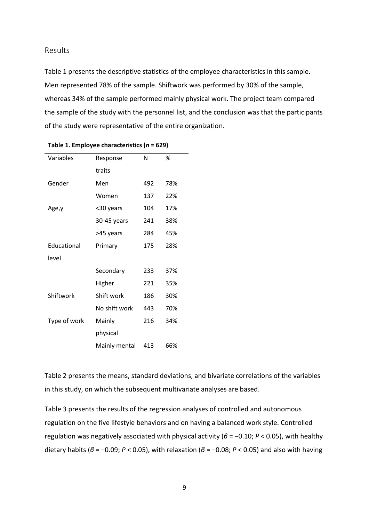### Results

Table 1 presents the descriptive statistics of the employee characteristics in this sample. Men represented 78% of the sample. Shiftwork was performed by 30% of the sample, whereas 34% of the sample performed mainly physical work. The project team compared the sample of the study with the personnel list, and the conclusion was that the participants of the study were representative of the entire organization.

| Variables    | Response      | N   | %   |  |
|--------------|---------------|-----|-----|--|
|              | traits        |     |     |  |
| Gender       | Men           | 492 | 78% |  |
|              | Women         | 137 | 22% |  |
| Age,y        | <30 years     | 104 | 17% |  |
|              | 30-45 years   | 241 | 38% |  |
|              | >45 years     | 284 | 45% |  |
| Educational  | Primary       | 175 | 28% |  |
| level        |               |     |     |  |
|              | Secondary     | 233 | 37% |  |
|              | Higher        | 221 | 35% |  |
| Shiftwork    | Shift work    | 186 | 30% |  |
|              | No shift work | 443 | 70% |  |
| Type of work | Mainly        | 216 | 34% |  |
|              | physical      |     |     |  |
|              | Mainly mental | 413 | 66% |  |

**Table 1. Employee characteristics (***n* **= 629)**

Table 2 presents the means, standard deviations, and bivariate correlations of the variables in this study, on which the subsequent multivariate analyses are based.

Table 3 presents the results of the regression analyses of controlled and autonomous regulation on the five lifestyle behaviors and on having a balanced work style. Controlled regulation was negatively associated with physical activity (*β* = −0.10; *P* < 0.05), with healthy dietary habits (*β* = −0.09; *P* < 0.05), with relaxation (*β* = −0.08; *P* < 0.05) and also with having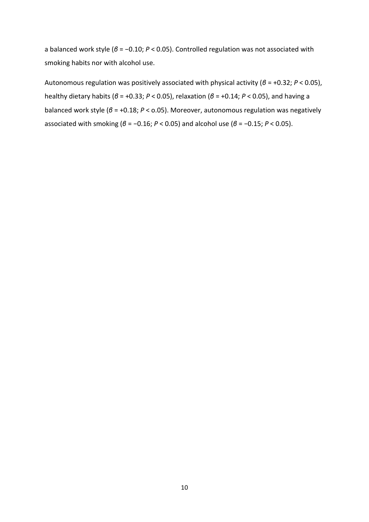a balanced work style (*β* = −0.10; *P* < 0.05). Controlled regulation was not associated with smoking habits nor with alcohol use.

Autonomous regulation was positively associated with physical activity (*β* = +0.32; *P* < 0.05), healthy dietary habits (*β* = +0.33; *P* < 0.05), relaxation (*β* = +0.14; *P* < 0.05), and having a balanced work style (*β* = +0.18; *P* < o.05). Moreover, autonomous regulation was negatively associated with smoking (*β* = −0.16; *P* < 0.05) and alcohol use (*β* = −0.15; *P* < 0.05).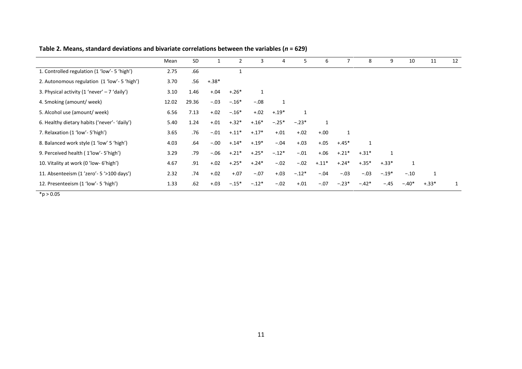|                                                                | Mean  | SD    |         |         | 3       | 4       | 5.      | ь       |         | 8       | 9            | 10           | 11      | 12 |
|----------------------------------------------------------------|-------|-------|---------|---------|---------|---------|---------|---------|---------|---------|--------------|--------------|---------|----|
| 1. Controlled regulation (1 'low'- 5 'high')                   | 2.75  | .66   |         |         |         |         |         |         |         |         |              |              |         |    |
| 2. Autonomous regulation (1 'low'- 5 'high')                   | 3.70  | .56   | $+.38*$ |         |         |         |         |         |         |         |              |              |         |    |
| 3. Physical activity $(1 \text{ 'never'} - 7 \text{ 'daily'})$ | 3.10  | 1.46  | $+.04$  | $+.26*$ |         |         |         |         |         |         |              |              |         |    |
| 4. Smoking (amount/week)                                       | 12.02 | 29.36 | $-.03$  | $-.16*$ | $-.08$  | 1       |         |         |         |         |              |              |         |    |
| 5. Alcohol use (amount/ week)                                  | 6.56  | 7.13  | $+.02$  | $-.16*$ | $+.02$  | $+.19*$ | 1       |         |         |         |              |              |         |    |
| 6. Healthy dietary habits ('never'- 'daily')                   | 5.40  | 1.24  | $+.01$  | $+.32*$ | $+.16*$ | $-.25*$ | $-.23*$ |         |         |         |              |              |         |    |
| 7. Relaxation (1 'low'- 5'high')                               | 3.65  | .76   | $-.01$  | $+.11*$ | $+.17*$ | $+.01$  | $+.02$  | $+.00$  |         |         |              |              |         |    |
| 8. Balanced work style (1 'low' 5 'high')                      | 4.03  | .64   | $-.00$  | $+.14*$ | $+.19*$ | $-.04$  | $+.03$  | $+.05$  | $+.45*$ |         |              |              |         |    |
| 9. Perceived health (1'low'-5'high')                           | 3.29  | .79   | $-.06$  | $+.21*$ | $+.25*$ | $-.12*$ | $-.01$  | $+.06$  | $+.21*$ | $+.31*$ | $\mathbf{1}$ |              |         |    |
| 10. Vitality at work (0'low- 6'high')                          | 4.67  | .91   | $+.02$  | $+.25*$ | $+.24*$ | $-.02$  | $-.02$  | $+.11*$ | $+.24*$ | $+.35*$ | $+.33*$      | $\mathbf{1}$ |         |    |
| 11. Absenteeism (1'zero'- 5 '>100 days')                       | 2.32  | .74   | $+.02$  | $+.07$  | $-.07$  | $+.03$  | $-.12*$ | $-.04$  | $-.03$  | $-.03$  | $-.19*$      | $-.10$       | 1       |    |
| 12. Presenteeism (1 'low'- 5 'high')                           | 1.33  | .62   | $+.03$  | $-.15*$ | $-.12*$ | $-.02$  | $+.01$  | $-.07$  | $-.23*$ | $-.42*$ | $-.45$       | $-.40*$      | $+.33*$ | 1  |

**Table 2. Means, standard deviations and bivariate correlations between the variables (***n* **= 629)**

 $*_{p > 0.05}$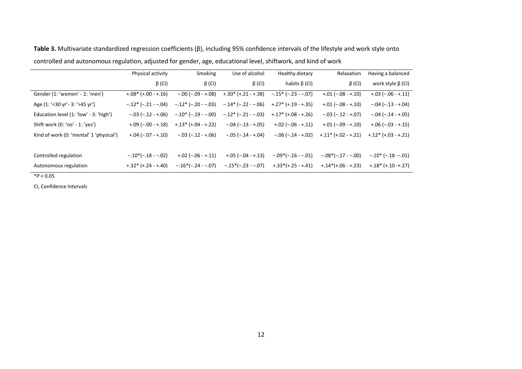|                                         | Physical activity            | Smoking                      | Use of alcohol                          | Healthy dietary      | Relaxation           | Having a balanced                     |
|-----------------------------------------|------------------------------|------------------------------|-----------------------------------------|----------------------|----------------------|---------------------------------------|
|                                         | $\beta$ (CI)                 | $\beta$ (CI)                 | $\beta$ (CI)                            | habits $\beta$ (CI)  | $\beta$ (CI)         | work style $\beta$ (CI)               |
| Gender (1: 'women' - 2: 'men')          | $+.08*(+.00 -+.16)$          | $-.00 (-.09 -+.08)$          | $+.30*(+.21-+.38)$                      | $-.15* (-.23 - .07)$ | $+.01 (-.08 -+.10)$  | $+.03 (-.06 -+.11)$                   |
| Age (1: '<30 yr' - 3: '>45 yr')         | $-.12$ * ( $-.21$ - $-.04$ ) | $-.12$ * ( $-.20$ - $-.03$ ) | $-.14*(-.22--.06)$                      | $+.27*(+.19-.35)$    | $+.01 (-.08 -+.10)$  | $-.04 (-.13 -+.04)$                   |
| Education level (1: 'low' - 3: 'high')  | $-.03 (-.12 -+.06)$          | $-.10$ * ( $-.19$ - $-.00$ ) | $-.12$ <sup>*</sup> ( $-.21$ - $-.03$ ) | $+.17*(+.08-+.26)$   | $-.03(-.12 -+.07)$   | $-.04 (-.14 -+.05)$                   |
| Shift work (0: 'no' - 1: 'yes')         | $+.09(-.00-+.18)$            | $+.13*(+.04-+.22)$           | $-.04 (-.13 -+.05)$                     | $+.02 (-.06 -+.11)$  | $+.01 (-.09 -+.10)$  | $+.06 (-.03 -+.15)$                   |
| Kind of work (0: 'mental' 1 'physical') | $+.04 (-.07 -+.10)$          | $-.03 (-.12 -+.06)$          | $-.05 (-.14 -+.04)$                     | $-.06 (-.14 -+.02)$  | $+.11* (+.02 -+.21)$ | $+.12*(+.03-+.21)$                    |
|                                         |                              |                              |                                         |                      |                      |                                       |
| Controlled regulation                   | $-.10*(-.18--.02)$           | $+.02 (-.06 -+.11)$          | $+.05 (-.04 -+.13)$                     | $-.09*(-.16--.01)$   | $-.08*(-.17--.00)$   | $-.10$ <sup>*</sup> ( $-.18$ $-.01$ ) |
| Autonomous regulation                   | $+.32*(+.24-+.40)$           | $-.16*(-.24--.07)$           | $-.15*(-.23--.07)$                      | $+.33*(+.25-+.41)$   | $+.14*(+.06-+.23)$   | $+.18*(+.10-+.27)$                    |

**Table 3.** Multivariate standardized regression coefficients (β), including 95% confidence intervals of the lifestyle and work style onto controlled and autonomous regulation, adjusted for gender, age, educational level, shiftwork, and kind of work

 $*P < 0.05$ 

CI, Confidence Intervals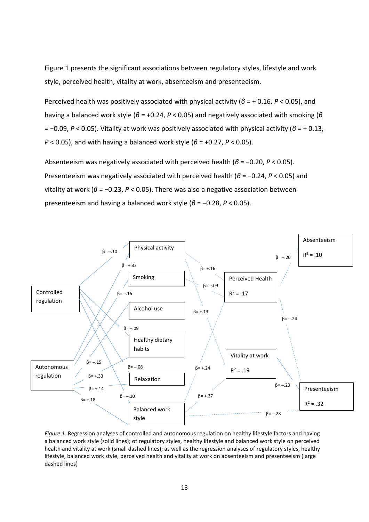Figure 1 presents the significant associations between regulatory styles, lifestyle and work style, perceived health, vitality at work, absenteeism and presenteeism.

Perceived health was positively associated with physical activity (*β* = + 0.16, *P* < 0.05), and having a balanced work style (*β* = +0.24, *P* < 0.05) and negatively associated with smoking (*β* = −0.09, *P* < 0.05). Vitality at work was positively associated with physical activity (*β* = + 0.13, *P* < 0.05), and with having a balanced work style (*β* = +0.27, *P* < 0.05).

Absenteeism was negatively associated with perceived health (*β* = −0.20, *P* < 0.05). Presenteeism was negatively associated with perceived health (*β* = −0.24, *P* < 0.05) and vitality at work (*β* = −0.23, *P* < 0.05). There was also a negative association between presenteeism and having a balanced work style (*β* = −0.28, *P* < 0.05).



*Figure 1.* Regression analyses of controlled and autonomous regulation on healthy lifestyle factors and having a balanced work style (solid lines); of regulatory styles, healthy lifestyle and balanced work style on perceived health and vitality at work (small dashed lines); as well as the regression analyses of regulatory styles, healthy lifestyle, balanced work style, perceived health and vitality at work on absenteeism and presenteeism (large dashed lines)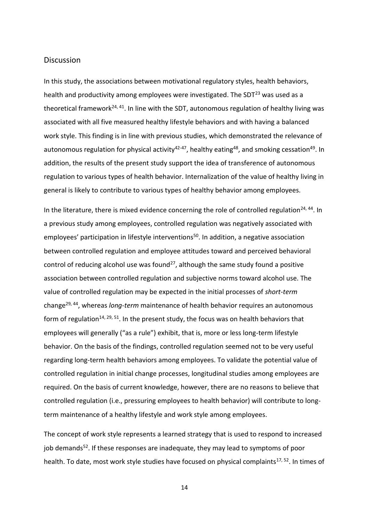### **Discussion**

In this study, the associations between motivational regulatory styles, health behaviors, health and productivity among employees were investigated. The SDT $^{23}$  was used as a theoretical framework<sup>24, 41</sup>. In line with the SDT, autonomous regulation of healthy living was associated with all five measured healthy lifestyle behaviors and with having a balanced work style. This finding is in line with previous studies, which demonstrated the relevance of autonomous regulation for physical activity<sup>42-47</sup>, healthy eating<sup>48</sup>, and smoking cessation<sup>49</sup>. In addition, the results of the present study support the idea of transference of autonomous regulation to various types of health behavior. Internalization of the value of healthy living in general is likely to contribute to various types of healthy behavior among employees.

In the literature, there is mixed evidence concerning the role of controlled regulation<sup>24, 44</sup>. In a previous study among employees, controlled regulation was negatively associated with employees' participation in lifestyle interventions<sup>50</sup>. In addition, a negative association between controlled regulation and employee attitudes toward and perceived behavioral control of reducing alcohol use was found<sup>27</sup>, although the same study found a positive association between controlled regulation and subjective norms toward alcohol use. The value of controlled regulation may be expected in the initial processes of *short-term* change29, 44, whereas *long-term* maintenance of health behavior requires an autonomous form of regulation<sup>14, 29, 51</sup>. In the present study, the focus was on health behaviors that employees will generally ("as a rule") exhibit, that is, more or less long-term lifestyle behavior. On the basis of the findings, controlled regulation seemed not to be very useful regarding long-term health behaviors among employees. To validate the potential value of controlled regulation in initial change processes, longitudinal studies among employees are required. On the basis of current knowledge, however, there are no reasons to believe that controlled regulation (i.e., pressuring employees to health behavior) will contribute to longterm maintenance of a healthy lifestyle and work style among employees.

The concept of work style represents a learned strategy that is used to respond to increased job demands $52$ . If these responses are inadequate, they may lead to symptoms of poor health. To date, most work style studies have focused on physical complaints<sup>17, 52</sup>. In times of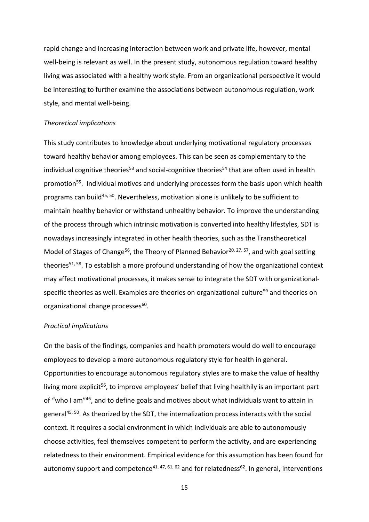rapid change and increasing interaction between work and private life, however, mental well-being is relevant as well. In the present study, autonomous regulation toward healthy living was associated with a healthy work style. From an organizational perspective it would be interesting to further examine the associations between autonomous regulation, work style, and mental well-being.

#### *Theoretical implications*

This study contributes to knowledge about underlying motivational regulatory processes toward healthy behavior among employees. This can be seen as complementary to the individual cognitive theories<sup>53</sup> and social-cognitive theories<sup>54</sup> that are often used in health promotion<sup>55</sup>. Individual motives and underlying processes form the basis upon which health programs can build<sup>45, 50</sup>. Nevertheless, motivation alone is unlikely to be sufficient to maintain healthy behavior or withstand unhealthy behavior. To improve the understanding of the process through which intrinsic motivation is converted into healthy lifestyles, SDT is nowadays increasingly integrated in other health theories, such as the Transtheoretical Model of Stages of Change<sup>56</sup>, the Theory of Planned Behavior<sup>20, 27, 57</sup>, and with goal setting theories<sup>51, 58</sup>. To establish a more profound understanding of how the organizational context may affect motivational processes, it makes sense to integrate the SDT with organizationalspecific theories as well. Examples are theories on organizational culture<sup>59</sup> and theories on organizational change processes<sup>60</sup>.

### *Practical implications*

On the basis of the findings, companies and health promoters would do well to encourage employees to develop a more autonomous regulatory style for health in general. Opportunities to encourage autonomous regulatory styles are to make the value of healthy living more explicit<sup>56</sup>, to improve employees' belief that living healthily is an important part of "who I am"<sup>46</sup>, and to define goals and motives about what individuals want to attain in general<sup>45, 50</sup>. As theorized by the SDT, the internalization process interacts with the social context. It requires a social environment in which individuals are able to autonomously choose activities, feel themselves competent to perform the activity, and are experiencing relatedness to their environment. Empirical evidence for this assumption has been found for autonomy support and competence<sup>41, 47, 61, 62</sup> and for relatedness<sup>62</sup>. In general, interventions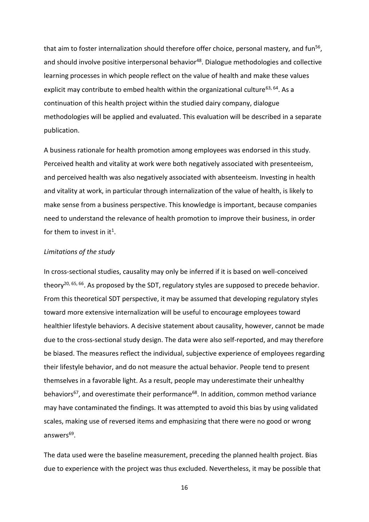that aim to foster internalization should therefore offer choice, personal mastery, and fun<sup>56</sup>, and should involve positive interpersonal behavior<sup>48</sup>. Dialogue methodologies and collective learning processes in which people reflect on the value of health and make these values explicit may contribute to embed health within the organizational culture<sup>63, 64</sup>. As a continuation of this health project within the studied dairy company, dialogue methodologies will be applied and evaluated. This evaluation will be described in a separate publication.

A business rationale for health promotion among employees was endorsed in this study. Perceived health and vitality at work were both negatively associated with presenteeism, and perceived health was also negatively associated with absenteeism. Investing in health and vitality at work, in particular through internalization of the value of health, is likely to make sense from a business perspective. This knowledge is important, because companies need to understand the relevance of health promotion to improve their business, in order for them to invest in it<sup>1</sup>.

### *Limitations of the study*

In cross-sectional studies, causality may only be inferred if it is based on well-conceived theory<sup>20, 65, 66</sup>. As proposed by the SDT, regulatory styles are supposed to precede behavior. From this theoretical SDT perspective, it may be assumed that developing regulatory styles toward more extensive internalization will be useful to encourage employees toward healthier lifestyle behaviors. A decisive statement about causality, however, cannot be made due to the cross-sectional study design. The data were also self-reported, and may therefore be biased. The measures reflect the individual, subjective experience of employees regarding their lifestyle behavior, and do not measure the actual behavior. People tend to present themselves in a favorable light. As a result, people may underestimate their unhealthy behaviors<sup>67</sup>, and overestimate their performance<sup>68</sup>. In addition, common method variance may have contaminated the findings. It was attempted to avoid this bias by using validated scales, making use of reversed items and emphasizing that there were no good or wrong answers<sup>69</sup>.

The data used were the baseline measurement, preceding the planned health project. Bias due to experience with the project was thus excluded. Nevertheless, it may be possible that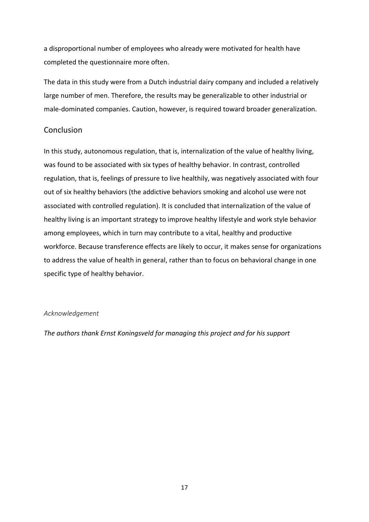a disproportional number of employees who already were motivated for health have completed the questionnaire more often.

The data in this study were from a Dutch industrial dairy company and included a relatively large number of men. Therefore, the results may be generalizable to other industrial or male-dominated companies. Caution, however, is required toward broader generalization.

## Conclusion

In this study, autonomous regulation, that is, internalization of the value of healthy living, was found to be associated with six types of healthy behavior. In contrast, controlled regulation, that is, feelings of pressure to live healthily, was negatively associated with four out of six healthy behaviors (the addictive behaviors smoking and alcohol use were not associated with controlled regulation). It is concluded that internalization of the value of healthy living is an important strategy to improve healthy lifestyle and work style behavior among employees, which in turn may contribute to a vital, healthy and productive workforce. Because transference effects are likely to occur, it makes sense for organizations to address the value of health in general, rather than to focus on behavioral change in one specific type of healthy behavior.

### *Acknowledgement*

*The authors thank Ernst Koningsveld for managing this project and for his support*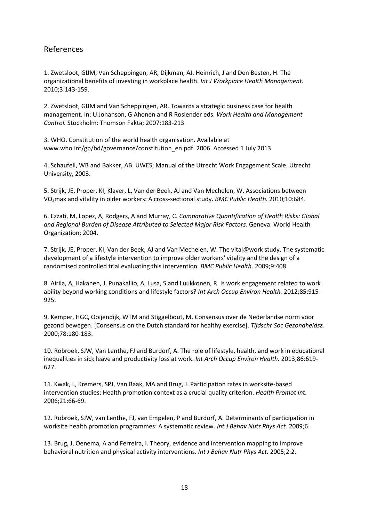# References

1. Zwetsloot, GIJM, Van Scheppingen, AR, Dijkman, AJ, Heinrich, J and Den Besten, H. The organizational benefits of investing in workplace health. *Int J Workplace Health Management.*  2010;3:143-159.

2. Zwetsloot, GIJM and Van Scheppingen, AR. Towards a strategic business case for health management. In: U Johanson, G Ahonen and R Roslender eds. *Work Health and Management Control.* Stockholm: Thomson Fakta; 2007:183-213.

3. WHO. Constitution of the world health organisation. Available at [www.who.int/gb/bd/governance/constitution\\_en.pdf.](http://www.who.int/gb/bd/governance/constitution_en.pdf) 2006. Accessed 1 July 2013.

4. Schaufeli, WB and Bakker, AB. UWES; Manual of the Utrecht Work Engagement Scale. Utrecht University, 2003.

5. Strijk, JE, Proper, KI, Klaver, L, Van der Beek, AJ and Van Mechelen, W. Associations between VO2max and vitality in older workers: A cross-sectional study. *BMC Public Health.* 2010;10:684.

6. Ezzati, M, Lopez, A, Rodgers, A and Murray, C. *Comparative Quantification of Health Risks: Global and Regional Burden of Disease Attributed to Selected Major Risk Factors.* Geneva: World Health Organization; 2004.

7. Strijk, JE, Proper, KI, Van der Beek, AJ and Van Mechelen, W. The vital@work study. The systematic development of a lifestyle intervention to improve older workers' vitality and the design of a randomised controlled trial evaluating this intervention. *BMC Public Health.* 2009;9:408

8. Airila, A, Hakanen, J, Punakallio, A, Lusa, S and Luukkonen, R. Is work engagement related to work ability beyond working conditions and lifestyle factors? *Int Arch Occup Environ Health.* 2012;85:915- 925.

9. Kemper, HGC, Ooijendijk, WTM and Stiggelbout, M. Consensus over de Nederlandse norm voor gezond bewegen. [Consensus on the Dutch standard for healthy exercise]. *Tijdschr Soc Gezondheidsz.*  2000;78:180-183.

10. Robroek, SJW, Van Lenthe, FJ and Burdorf, A. The role of lifestyle, health, and work in educational inequalities in sick leave and productivity loss at work. *Int Arch Occup Environ Health.* 2013;86:619- 627.

11. Kwak, L, Kremers, SPJ, Van Baak, MA and Brug, J. Participation rates in worksite-based intervention studies: Health promotion context as a crucial quality criterion. *Health Promot Int.*  2006;21:66-69.

12. Robroek, SJW, van Lenthe, FJ, van Empelen, P and Burdorf, A. Determinants of participation in worksite health promotion programmes: A systematic review. *Int J Behav Nutr Phys Act.* 2009;6.

13. Brug, J, Oenema, A and Ferreira, I. Theory, evidence and intervention mapping to improve behavioral nutrition and physical activity interventions. *Int J Behav Nutr Phys Act.* 2005;2:2.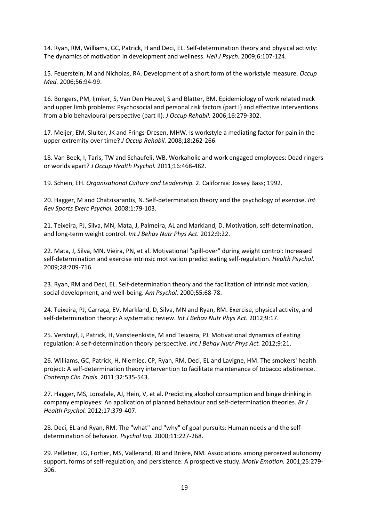14. Ryan, RM, Williams, GC, Patrick, H and Deci, EL. Self-determination theory and physical activity: The dynamics of motivation in development and wellness. *Hell J Psych.* 2009;6:107-124.

15. Feuerstein, M and Nicholas, RA. Development of a short form of the workstyle measure. *Occup Med.* 2006;56:94-99.

16. Bongers, PM, Ijmker, S, Van Den Heuvel, S and Blatter, BM. Epidemiology of work related neck and upper limb problems: Psychosocial and personal risk factors (part I) and effective interventions from a bio behavioural perspective (part II). *J Occup Rehabil.* 2006;16:279-302.

17. Meijer, EM, Sluiter, JK and Frings-Dresen, MHW. Is workstyle a mediating factor for pain in the upper extremity over time? *J Occup Rehabil.* 2008;18:262-266.

18. Van Beek, I, Taris, TW and Schaufeli, WB. Workaholic and work engaged employees: Dead ringers or worlds apart? *J Occup Health Psychol.* 2011;16:468-482.

19. Schein, EH. *Organisational Culture and Leadership.* 2. California: Jossey Bass; 1992.

20. Hagger, M and Chatzisarantis, N. Self-determination theory and the psychology of exercise. *Int Rev Sports Exerc Psychol.* 2008;1:79-103.

21. Teixeira, PJ, Silva, MN, Mata, J, Palmeira, AL and Markland, D. Motivation, self-determination, and long-term weight control. *Int J Behav Nutr Phys Act.* 2012;9:22.

22. Mata, J, Silva, MN, Vieira, PN, et al. Motivational "spill-over" during weight control: Increased self-determination and exercise intrinsic motivation predict eating self-regulation. *Health Psychol.*  2009;28:709-716.

23. Ryan, RM and Deci, EL. Self-determination theory and the facilitation of intrinsic motivation, social development, and well-being. *Am Psychol.* 2000;55:68-78.

24. Teixeira, PJ, Carraça, EV, Markland, D, Silva, MN and Ryan, RM. Exercise, physical activity, and self-determination theory: A systematic review. *Int J Behav Nutr Phys Act.* 2012;9:17.

25. Verstuyf, J, Patrick, H, Vansteenkiste, M and Teixeira, PJ. Motivational dynamics of eating regulation: A self-determination theory perspective. *Int J Behav Nutr Phys Act.* 2012;9:21.

26. Williams, GC, Patrick, H, Niemiec, CP, Ryan, RM, Deci, EL and Lavigne, HM. The smokers' health project: A self-determination theory intervention to facilitate maintenance of tobacco abstinence. *Contemp Clin Trials.* 2011;32:535-543.

27. Hagger, MS, Lonsdale, AJ, Hein, V, et al. Predicting alcohol consumption and binge drinking in company employees: An application of planned behaviour and self-determination theories. *Br J Health Psychol.* 2012;17:379-407.

28. Deci, EL and Ryan, RM. The "what" and "why" of goal pursuits: Human needs and the selfdetermination of behavior. *Psychol Inq.* 2000;11:227-268.

29. Pelletier, LG, Fortier, MS, Vallerand, RJ and Brière, NM. Associations among perceived autonomy support, forms of self-regulation, and persistence: A prospective study. *Motiv Emotion.* 2001;25:279- 306.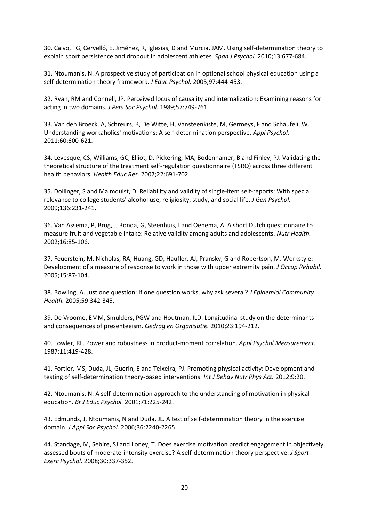30. Calvo, TG, Cervelló, E, Jiménez, R, Iglesias, D and Murcia, JAM. Using self-determination theory to explain sport persistence and dropout in adolescent athletes. *Span J Psychol.* 2010;13:677-684.

31. Ntoumanis, N. A prospective study of participation in optional school physical education using a self-determination theory framework. *J Educ Psychol.* 2005;97:444-453.

32. Ryan, RM and Connell, JP. Perceived locus of causality and internalization: Examining reasons for acting in two domains. *J Pers Soc Psychol.* 1989;57:749-761.

33. Van den Broeck, A, Schreurs, B, De Witte, H, Vansteenkiste, M, Germeys, F and Schaufeli, W. Understanding workaholics' motivations: A self-determination perspective. *Appl Psychol.*  2011;60:600-621.

34. Levesque, CS, Williams, GC, Elliot, D, Pickering, MA, Bodenhamer, B and Finley, PJ. Validating the theoretical structure of the treatment self-regulation questionnaire (TSRQ) across three different health behaviors. *Health Educ Res.* 2007;22:691-702.

35. Dollinger, S and Malmquist, D. Reliability and validity of single-item self-reports: With special relevance to college students' alcohol use, religiosity, study, and social life. *J Gen Psychol.*  2009;136:231-241.

36. Van Assema, P, Brug, J, Ronda, G, Steenhuis, I and Oenema, A. A short Dutch questionnaire to measure fruit and vegetable intake: Relative validity among adults and adolescents. *Nutr Health.*  2002;16:85-106.

37. Feuerstein, M, Nicholas, RA, Huang, GD, Haufler, AJ, Pransky, G and Robertson, M. Workstyle: Development of a measure of response to work in those with upper extremity pain. *J Occup Rehabil.*  2005;15:87-104.

38. Bowling, A. Just one question: If one question works, why ask several? *J Epidemiol Community Health.* 2005;59:342-345.

39. De Vroome, EMM, Smulders, PGW and Houtman, ILD. Longitudinal study on the determinants and consequences of presenteeism. *Gedrag en Organisatie.* 2010;23:194-212.

40. Fowler, RL. Power and robustness in product-moment correlation. *Appl Psychol Measurement.*  1987;11:419-428.

41. Fortier, MS, Duda, JL, Guerin, E and Teixeira, PJ. Promoting physical activity: Development and testing of self-determination theory-based interventions. *Int J Behav Nutr Phys Act.* 2012;9:20.

42. Ntoumanis, N. A self-determination approach to the understanding of motivation in physical education. *Br J Educ Psychol.* 2001;71:225-242.

43. Edmunds, J, Ntoumanis, N and Duda, JL. A test of self-determination theory in the exercise domain. *J Appl Soc Psychol.* 2006;36:2240-2265.

44. Standage, M, Sebire, SJ and Loney, T. Does exercise motivation predict engagement in objectively assessed bouts of moderate-intensity exercise? A self-determination theory perspective. *J Sport Exerc Psychol.* 2008;30:337-352.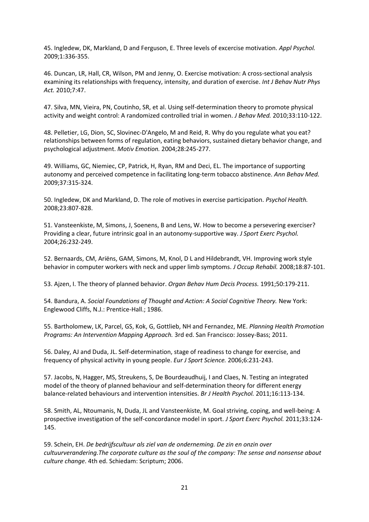45. Ingledew, DK, Markland, D and Ferguson, E. Three levels of excercise motivation. *Appl Psychol.*  2009;1:336-355.

46. Duncan, LR, Hall, CR, Wilson, PM and Jenny, O. Exercise motivation: A cross-sectional analysis examining its relationships with frequency, intensity, and duration of exercise. *Int J Behav Nutr Phys Act.* 2010;7:47.

47. Silva, MN, Vieira, PN, Coutinho, SR, et al. Using self-determination theory to promote physical activity and weight control: A randomized controlled trial in women. *J Behav Med.* 2010;33:110-122.

48. Pelletier, LG, Dion, SC, Slovinec-D'Angelo, M and Reid, R. Why do you regulate what you eat? relationships between forms of regulation, eating behaviors, sustained dietary behavior change, and psychological adjustment. *Motiv Emotion.* 2004;28:245-277.

49. Williams, GC, Niemiec, CP, Patrick, H, Ryan, RM and Deci, EL. The importance of supporting autonomy and perceived competence in facilitating long-term tobacco abstinence. *Ann Behav Med.*  2009;37:315-324.

50. Ingledew, DK and Markland, D. The role of motives in exercise participation. *Psychol Health.*  2008;23:807-828.

51. Vansteenkiste, M, Simons, J, Soenens, B and Lens, W. How to become a persevering exerciser? Providing a clear, future intrinsic goal in an autonomy-supportive way. *J Sport Exerc Psychol.*  2004;26:232-249.

52. Bernaards, CM, Ariëns, GAM, Simons, M, Knol, D L and Hildebrandt, VH. Improving work style behavior in computer workers with neck and upper limb symptoms. *J Occup Rehabil.* 2008;18:87-101.

53. Ajzen, I. The theory of planned behavior. *Organ Behav Hum Decis Process.* 1991;50:179-211.

54. Bandura, A. *Social Foundations of Thought and Action: A Social Cognitive Theory.* New York: Englewood Cliffs, N.J.: Prentice-Hall.; 1986.

55. Bartholomew, LK, Parcel, GS, Kok, G, Gottlieb, NH and Fernandez, ME. *Planning Health Promotion Programs: An Intervention Mapping Approach.* 3rd ed. San Francisco: Jossey-Bass; 2011.

56. Daley, AJ and Duda, JL. Self-determination, stage of readiness to change for exercise, and frequency of physical activity in young people. *Eur J Sport Science.* 2006;6:231-243.

57. Jacobs, N, Hagger, MS, Streukens, S, De Bourdeaudhuij, I and Claes, N. Testing an integrated model of the theory of planned behaviour and self-determination theory for different energy balance-related behaviours and intervention intensities. *Br J Health Psychol.* 2011;16:113-134.

58. Smith, AL, Ntoumanis, N, Duda, JL and Vansteenkiste, M. Goal striving, coping, and well-being: A prospective investigation of the self-concordance model in sport. *J Sport Exerc Psychol.* 2011;33:124- 145.

59. Schein, EH. *De bedrijfscultuur als ziel van de onderneming. De zin en onzin over cultuurverandering.The corporate culture as the soul of the company: The sense and nonsense about culture change*. 4th ed. Schiedam: Scriptum; 2006.